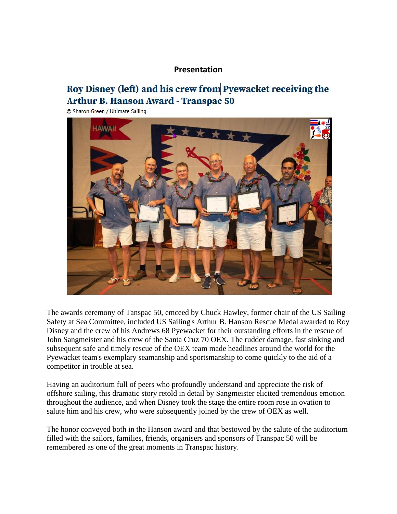#### **Presentation**

## Roy Disney (left) and his crew from Pyewacket receiving the **Arthur B. Hanson Award - Transpac 50**

© Sharon Green / Ultimate Sailing



The awards ceremony of Tanspac 50, emceed by Chuck Hawley, former chair of the US Sailing Safety at Sea Committee, included US Sailing's Arthur B. Hanson Rescue Medal awarded to Roy Disney and the crew of his Andrews 68 Pyewacket for their outstanding efforts in the rescue of John Sangmeister and his crew of the Santa Cruz 70 OEX. The rudder damage, fast sinking and subsequent safe and timely rescue of the OEX team made headlines around the world for the Pyewacket team's exemplary seamanship and sportsmanship to come quickly to the aid of a competitor in trouble at sea.

Having an auditorium full of peers who profoundly understand and appreciate the risk of offshore sailing, this dramatic story retold in detail by Sangmeister elicited tremendous emotion throughout the audience, and when Disney took the stage the entire room rose in ovation to salute him and his crew, who were subsequently joined by the crew of OEX as well.

The honor conveyed both in the Hanson award and that bestowed by the salute of the auditorium filled with the sailors, families, friends, organisers and sponsors of Transpac 50 will be remembered as one of the great moments in Transpac history.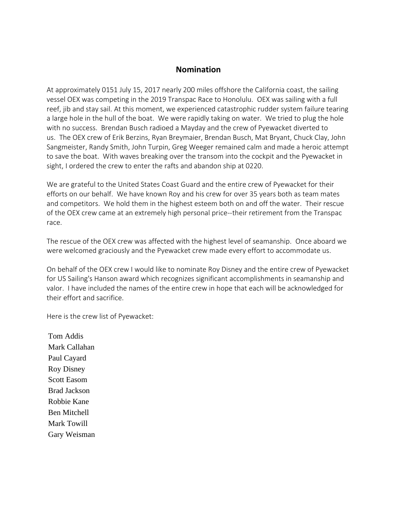### **Nomination**

At approximately 0151 July 15, 2017 nearly 200 miles offshore the California coast, the sailing vessel OEX was competing in the 2019 Transpac Race to Honolulu. OEX was sailing with a full reef, jib and stay sail. At this moment, we experienced catastrophic rudder system failure tearing a large hole in the hull of the boat. We were rapidly taking on water. We tried to plug the hole with no success. Brendan Busch radioed a Mayday and the crew of Pyewacket diverted to us. The OEX crew of Erik Berzins, Ryan Breymaier, Brendan Busch, Mat Bryant, Chuck Clay, John Sangmeister, Randy Smith, John Turpin, Greg Weeger remained calm and made a heroic attempt to save the boat. With waves breaking over the transom into the cockpit and the Pyewacket in sight, I ordered the crew to enter the rafts and abandon ship at 0220.

We are grateful to the United States Coast Guard and the entire crew of Pyewacket for their efforts on our behalf. We have known Roy and his crew for over 35 years both as team mates and competitors. We hold them in the highest esteem both on and off the water. Their rescue of the OEX crew came at an extremely high personal price--their retirement from the Transpac race.

The rescue of the OEX crew was affected with the highest level of seamanship. Once aboard we were welcomed graciously and the Pyewacket crew made every effort to accommodate us.

On behalf of the OEX crew I would like to nominate Roy Disney and the entire crew of Pyewacket for US Sailing's Hanson award which recognizes significant accomplishments in seamanship and valor. I have included the names of the entire crew in hope that each will be acknowledged for their effort and sacrifice.

Here is the crew list of Pyewacket:

Tom Addis Mark Callahan Paul Cayard Roy Disney Scott Easom Brad Jackson Robbie Kane Ben Mitchell Mark Towill Gary Weisman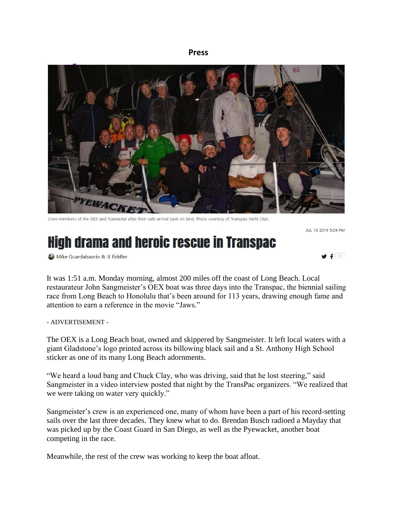#### **Press**



Crew members of the OEX and Pyewacket after their safe arrival back on land. Photo courtesy of Transpac Yacht Club.

JUL 18 2019 5:24 PM

# **High drama and heroic rescue in Transpac**

**3.** Mike Guardabascio & JJ Fiddler



It was 1:51 a.m. Monday morning, almost 200 miles off the coast of Long Beach. Local restaurateur John Sangmeister's OEX boat was three days into the Transpac, the biennial sailing race from Long Beach to Honolulu that's been around for 113 years, drawing enough fame and attention to earn a reference in the movie "Jaws."

- ADVERTISEMENT -

The OEX is a Long Beach boat, owned and skippered by Sangmeister. It left local waters with a giant Gladstone's logo printed across its billowing black sail and a St. Anthony High School sticker as one of its many Long Beach adornments.

"We heard a loud bang and Chuck Clay, who was driving, said that he lost steering," said Sangmeister in a video interview posted that night by the TransPac organizers. "We realized that we were taking on water very quickly."

Sangmeister's crew is an experienced one, many of whom have been a part of his record-setting sails over the last three decades. They knew what to do. Brendan Busch radioed a Mayday that was picked up by the Coast Guard in San Diego, as well as the Pyewacket, another boat competing in the race.

Meanwhile, the rest of the crew was working to keep the boat afloat.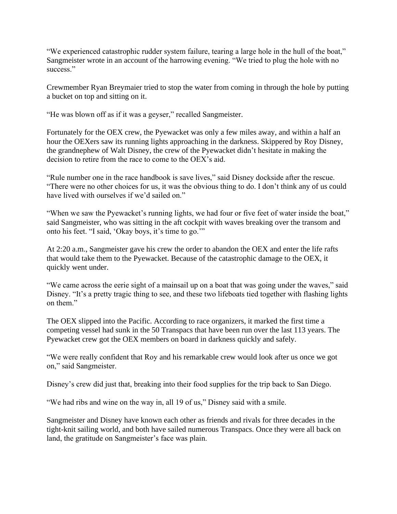"We experienced catastrophic rudder system failure, tearing a large hole in the hull of the boat," Sangmeister wrote in an account of the harrowing evening. "We tried to plug the hole with no success."

Crewmember Ryan Breymaier tried to stop the water from coming in through the hole by putting a bucket on top and sitting on it.

"He was blown off as if it was a geyser," recalled Sangmeister.

Fortunately for the OEX crew, the Pyewacket was only a few miles away, and within a half an hour the OEXers saw its running lights approaching in the darkness. Skippered by Roy Disney, the grandnephew of Walt Disney, the crew of the Pyewacket didn't hesitate in making the decision to retire from the race to come to the OEX's aid.

"Rule number one in the race handbook is save lives," said Disney dockside after the rescue. "There were no other choices for us, it was the obvious thing to do. I don't think any of us could have lived with ourselves if we'd sailed on."

"When we saw the Pyewacket's running lights, we had four or five feet of water inside the boat," said Sangmeister, who was sitting in the aft cockpit with waves breaking over the transom and onto his feet. "I said, 'Okay boys, it's time to go.'"

At 2:20 a.m., Sangmeister gave his crew the order to abandon the OEX and enter the life rafts that would take them to the Pyewacket. Because of the catastrophic damage to the OEX, it quickly went under.

"We came across the eerie sight of a mainsail up on a boat that was going under the waves," said Disney. "It's a pretty tragic thing to see, and these two lifeboats tied together with flashing lights on them."

The OEX slipped into the Pacific. According to race organizers, it marked the first time a competing vessel had sunk in the 50 Transpacs that have been run over the last 113 years. The Pyewacket crew got the OEX members on board in darkness quickly and safely.

"We were really confident that Roy and his remarkable crew would look after us once we got on," said Sangmeister.

Disney's crew did just that, breaking into their food supplies for the trip back to San Diego.

"We had ribs and wine on the way in, all 19 of us," Disney said with a smile.

Sangmeister and Disney have known each other as friends and rivals for three decades in the tight-knit sailing world, and both have sailed numerous Transpacs. Once they were all back on land, the gratitude on Sangmeister's face was plain.